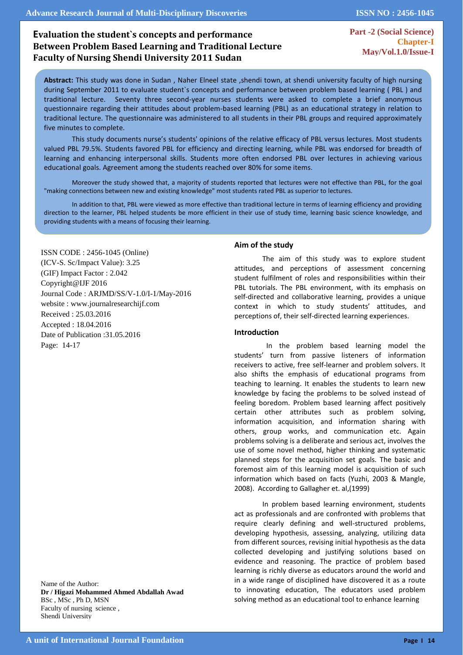# **Evaluation the student`s concepts and performance Between Problem Based Learning and Traditional Lecture Faculty of Nursing Shendi University 2011 Sudan**

**Part -2 (Social Science) Chapter-I May/Vol.1.0/Issue-I** 

 **Abstract:** This study was done in Sudan , Naher Elneel state ,shendi town, at shendi university faculty of high nursing during September 2011 to evaluate student`s concepts and performance between problem based learning ( PBL ) and traditional lecture. Seventy three second-year nurses students were asked to complete a brief anonymous questionnaire regarding their attitudes about problem-based learning (PBL) as an educational strategy in relation to traditional lecture. The questionnaire was administered to all students in their PBL groups and required approximately five minutes to complete.

This study documents nurse's students' opinions of the relative efficacy of PBL versus lectures. Most students valued PBL 79.5%. Students favored PBL for efficiency and directing learning, while PBL was endorsed for breadth of learning and enhancing interpersonal skills. Students more often endorsed PBL over lectures in achieving various educational goals. Agreement among the students reached over 80% for some items.

Moreover the study showed that, a majority of students reported that lectures were not effective than PBL, for the goal "making connections between new and existing knowledge" most students rated PBL as superior to lectures.

In addition to that, PBL were viewed as more effective than traditional lecture in terms of learning efficiency and providing direction to the learner, PBL helped students be more efficient in their use of study time, learning basic science knowledge, and providing students with a means of focusing their learning.

ISSN CODE : 2456-1045 (Online) (ICV-S. Sc/Impact Value): 3.25 (GIF) Impact Factor : 2.042 Copyright@IJF 2016 Journal Code : ARJMD/SS/V-1.0/I-1/May-2016 website : www.journalresearchijf.com Received : 25.03.2016 Accepted : 18.04.2016 Date of Publication :31.05.2016 Page: 14-17

Name of the Author: **Dr / Higazi Mohammed Ahmed Abdallah Awad** BSc , MSc , Ph D, MSN Faculty of nursing science , Shendi University

## **Aim of the study**

The aim of this study was to explore student attitudes, and perceptions of assessment concerning student fulfilment of roles and responsibilities within their PBL tutorials. The PBL environment, with its emphasis on self-directed and collaborative learning, provides a unique context in which to study students' attitudes, and perceptions of, their self-directed learning experiences.

#### **Introduction**

 In the problem based learning model the students' turn from passive listeners of information receivers to active, free self-learner and problem solvers. It also shifts the emphasis of educational programs from teaching to learning. It enables the students to learn new knowledge by facing the problems to be solved instead of feeling boredom. Problem based learning affect positively certain other attributes such as problem solving, information acquisition, and information sharing with others, group works, and communication etc. Again problems solving is a deliberate and serious act, involves the use of some novel method, higher thinking and systematic planned steps for the acquisition set goals. The basic and foremost aim of this learning model is acquisition of such information which based on facts (Yuzhi, 2003 & Mangle, 2008). According to Gallagher et. al,(1999)

In problem based learning environment, students act as professionals and are confronted with problems that require clearly defining and well-structured problems, developing hypothesis, assessing, analyzing, utilizing data from different sources, revising initial hypothesis as the data collected developing and justifying solutions based on evidence and reasoning. The practice of problem based learning is richly diverse as educators around the world and in a wide range of disciplined have discovered it as a route to innovating education, The educators used problem solving method as an educational tool to enhance learning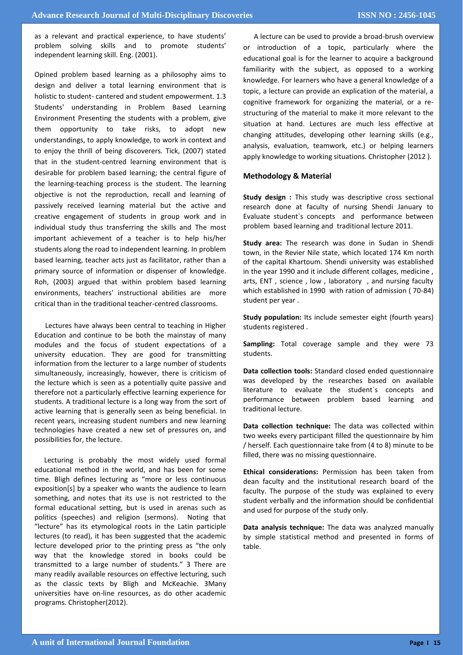as a relevant and practical experience, to have students' problem solving skills and to promote students' independent learning skill. Eng. (2001).

Opined problem based learning as a philosophy aims to design and deliver a total learning environment that is holistic to student- cantered and student empowerment. 1.3 Students' understanding in Problem Based Learning Environment Presenting the students with a problem, give them opportunity to take risks, to adopt new understandings, to apply knowledge, to work in context and to enjoy the thrill of being discoverers. Tick, (2007) stated that in the student-centred learning environment that is desirable for problem based learning; the central figure of the learning-teaching process is the student. The learning objective is not the reproduction, recall and learning of passively received learning material but the active and creative engagement of students in group work and in individual study thus transferring the skills and The most important achievement of a teacher is to help his/her students along the road to independent learning. In problem based learning, teacher acts just as facilitator, rather than a primary source of information or dispenser of knowledge. Roh, (2003) argued that within problem based learning environments, teachers' instructional abilities are more critical than in the traditional teacher-centred classrooms.

 Lectures have always been central to teaching in Higher Education and continue to be both the mainstay of many modules and the focus of student expectations of a university education. They are good for transmitting information from the lecturer to a large number of students simultaneously, increasingly, however, there is [criticism of](http://youtu.be/Tbl-xXF8NPY)  [the lecture w](http://youtu.be/Tbl-xXF8NPY)hich is seen as a potentially quite passive and therefore not a particularly effective learning experience for students. A traditional lecture is a long way from the sort of [active learning](https://pinboard.in/u:SussexTLDU/t:active.learning) that is generally seen as being beneficial. In recent years, increasing student numbers and new learning technologies have created a new set of pressures on, and possibilities for, the lecture.

 Lecturing is probably the most widely used formal educational method in the world, and has been for some time. Bligh defines lecturing as "more or less continuous exposition[s] by a speaker who wants the audience to learn something, and notes that its use is not restricted to the formal educational setting, but is used in arenas such as politics (speeches) and religion (sermons). Noting that "lecture" has its etymological roots in the Latin participle lectures (to read), it has been suggested that the academic lecture developed prior to the printing press as "the only way that the knowledge stored in books could be transmitted to a large number of students." 3 There are many readily available resources on effective lecturing, such as the classic texts by Bligh and McKeachie. 3Many universities have on-line resources, as do other academic programs. Christopher(2012).

 A lecture can be used to provide a broad-brush overview or introduction of a topic, particularly where the educational goal is for the learner to acquire a background familiarity with the subject, as opposed to a working knowledge. For learners who have a general knowledge of a topic, a lecture can provide an explication of the material, a cognitive framework for organizing the material, or a restructuring of the material to make it more relevant to the situation at hand. Lectures are much less effective at changing attitudes, developing other learning skills (e.g., analysis, evaluation, teamwork, etc.) or helping learners apply knowledge to working situations. Christopher (2012 ).

#### **Methodology & Material**

**Study design :** This study was descriptive cross sectional research done at faculty of nursing Shendi January to Evaluate student`s concepts and performance between problem based learning and traditional lecture 2011.

**Study area:** The research was done in Sudan in Shendi town, in the Revier Nile state, which located 174 Km north of the capital Khartoum. Shendi university was established in the year 1990 and it include different collages, medicine , arts, ENT , science , low , laboratory , and nursing faculty which established in 1990 with ration of admission ( 70-84) student per year .

**Study population:** Its include semester eight (fourth years) students registered .

**Sampling:** Total coverage sample and they were 73 students.

**Data collection tools:** Standard closed ended questionnaire was developed by the researches based on available literature to evaluate the student`s concepts and performance between problem based learning and traditional lecture.

**Data collection technique:** The data was collected within two weeks every participant filled the questionnaire by him / herself. Each questionnaire take from (4 to 8) minute to be filled, there was no missing questionnaire.

**Ethical considerations:** Permission has been taken from dean faculty and the institutional research board of the faculty. The purpose of the study was explained to every student verbally and the information should be confidential and used for purpose of the study only.

**Data analysis technique:** The data was analyzed manually by simple statistical method and presented in forms of table.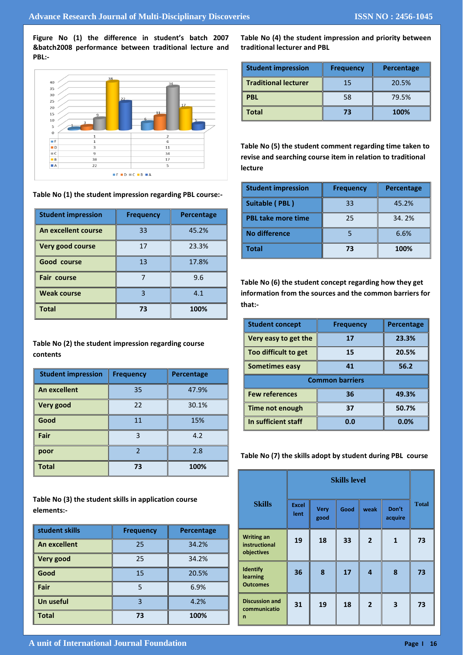**Figure No (1) the difference in student's batch 2007 &batch2008 performance between traditional lecture and PBL:-**



**Table No (1) the student impression regarding PBL course:-**

| I<br><b>Student impression</b> | <b>Frequency</b> | Percentage |
|--------------------------------|------------------|------------|
| An excellent course            | 33               | 45.2%      |
| Very good course               | 17               | 23.3%      |
| Good course                    | 13               | 17.8%      |
| <b>Fair course</b>             |                  | 9.6        |
| <b>Weak course</b>             |                  | 4.1        |
| <b>Total</b>                   | 73               | 100%       |

**Table No (2) the student impression regarding course contents**

| <b>Student impression</b> | <b>Frequency</b> | Percentage |  |
|---------------------------|------------------|------------|--|
| <b>An excellent</b>       | 35               | 47.9%      |  |
| Very good                 | 22               | 30.1%      |  |
| Good                      | 11               | 15%        |  |
| Fair                      | 3                | 4.2        |  |
| poor                      | 2                | 2.8        |  |
| <b>Total</b>              | 73               | 100%       |  |

**Table No (3) the student skills in application course elements:-**

| student skills      | <b>Frequency</b> | <b>Percentage</b> |
|---------------------|------------------|-------------------|
| <b>An excellent</b> | 25               | 34.2%             |
| Very good           | 25               | 34.2%             |
| Good                | 15               | 20.5%             |
| Fair                |                  | 6.9%              |
| Un useful           | 2                | 4.2%              |
| <b>Total</b>        | 73               | 100%              |

**Table No (4) the student impression and priority between traditional lecturer and PBL**

| <b>Student impression</b>   | <b>Frequency</b> | Percentage |  |
|-----------------------------|------------------|------------|--|
| <b>Traditional lecturer</b> | 15               | 20.5%      |  |
| <b>PBL</b>                  | 58               | 79.5%      |  |
| <b>Total</b>                | 73               | 100%       |  |

**Table No (5) the student comment regarding time taken to revise and searching course item in relation to traditional lecture** 

| <b>Student impression</b> | <b>Frequency</b> | Percentage |
|---------------------------|------------------|------------|
| <b>Suitable (PBL)</b>     | 33               | 45.2%      |
| <b>PBL take more time</b> | 25               | 34.2%      |
| <b>No difference</b>      |                  | 6.6%       |
| <b>Total</b>              | 73               | 100%       |

**Table No (6) the student concept regarding how they get information from the sources and the common barriers for that:-**

| <b>Student concept</b> | <b>Frequency</b> | <b>Percentage</b> |  |  |
|------------------------|------------------|-------------------|--|--|
| Very easy to get the   | 17               | 23.3%             |  |  |
| Too difficult to get   | 15               | 20.5%             |  |  |
| <b>Sometimes easy</b>  | 41               | 56.2              |  |  |
| <b>Common barriers</b> |                  |                   |  |  |
|                        |                  |                   |  |  |
| <b>Few references</b>  | 36               | 49.3%             |  |  |
| <b>Time not enough</b> | 37               | 50.7%             |  |  |

## **Table No (7) the skills adopt by student during PBL course**

|                                                       | <b>Skills level</b>  |                     |      |                |                  |              |
|-------------------------------------------------------|----------------------|---------------------|------|----------------|------------------|--------------|
| <b>Skills</b>                                         | <b>Excel</b><br>lent | <b>Very</b><br>good | Good | weak           | Don't<br>acquire | <b>Total</b> |
| <b>Writing an</b><br>instructional<br>objectives      | 19                   | 18                  | 33   | $\overline{2}$ | $\mathbf{1}$     | 73           |
| <b>Identify</b><br>learning<br><b>Outcomes</b>        | 36                   | 8                   | 17   | 4              | 8                | 73           |
| <b>Discussion and</b><br>communicatio<br>$\mathsf{n}$ | 31                   | 19                  | 18   | $\overline{2}$ | 3                | 73           |